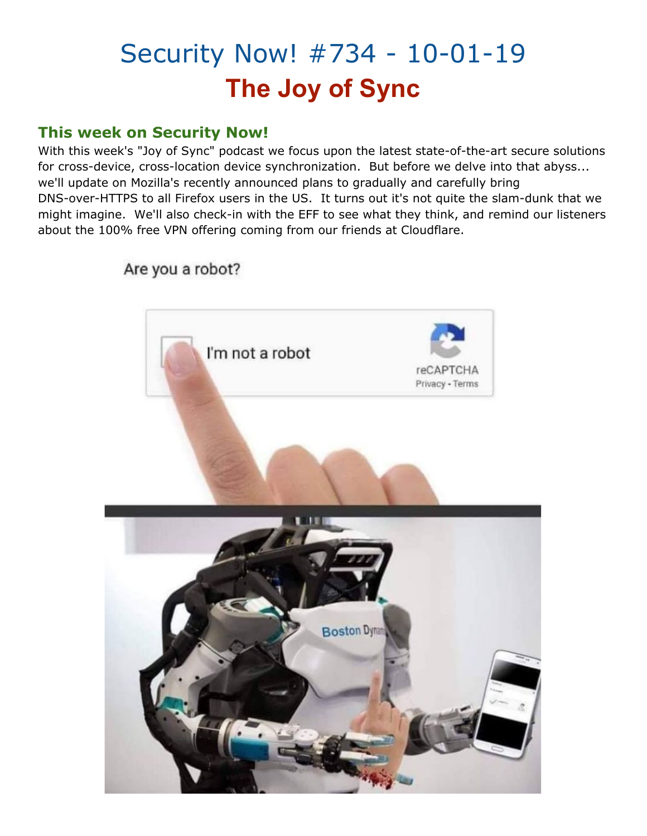## Security Now! #734 - 10-01-19 **The Joy of Sync**

#### **This week on Security Now!**

With this week's "Joy of Sync" podcast we focus upon the latest state-of-the-art secure solutions for cross-device, cross-location device synchronization. But before we delve into that abyss... we'll update on Mozilla's recently announced plans to gradually and carefully bring DNS-over-HTTPS to all Firefox users in the US. It turns out it's not quite the slam-dunk that we might imagine. We'll also check-in with the EFF to see what they think, and remind our listeners about the 100% free VPN offering coming from our friends at Cloudflare.



Are you a robot?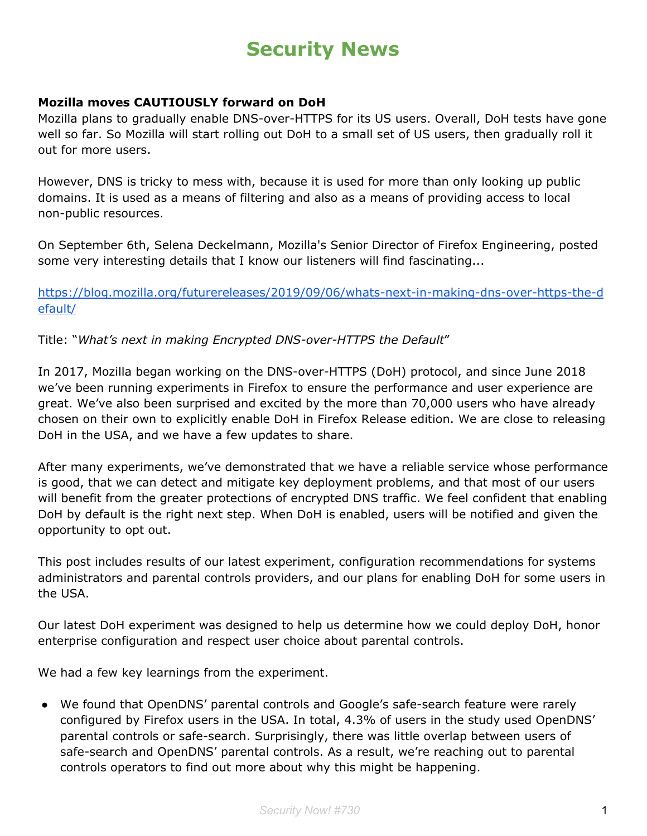### **Security News**

#### **Mozilla moves CAUTIOUSLY forward on DoH**

Mozilla plans to gradually enable DNS-over-HTTPS for its US users. Overall, DoH tests have gone well so far. So Mozilla will start rolling out DoH to a small set of US users, then gradually roll it out for more users.

However, DNS is tricky to mess with, because it is used for more than only looking up public domains. It is used as a means of filtering and also as a means of providing access to local non-public resources.

On September 6th, Selena Deckelmann, Mozilla's Senior Director of Firefox Engineering, posted some very interesting details that I know our listeners will find fascinating...

[https://blog.mozilla.org/futurereleases/2019/09/06/whats-next-in-making-dns-over-https-the-d](https://blog.mozilla.org/futurereleases/2019/09/06/whats-next-in-making-dns-over-https-the-default/) [efault/](https://blog.mozilla.org/futurereleases/2019/09/06/whats-next-in-making-dns-over-https-the-default/)

Title: "*What's next in making Encrypted DNS-over-HTTPS the Default*"

In 2017, Mozilla began working on the DNS-over-HTTPS (DoH) protocol, and since June 2018 we've been running experiments in Firefox to ensure the performance and user experience are great. We've also been surprised and excited by the more than 70,000 users who have already chosen on their own to explicitly enable DoH in Firefox Release edition. We are close to releasing DoH in the USA, and we have a few updates to share.

After many experiments, we've demonstrated that we have a reliable service whose performance is good, that we can detect and mitigate key deployment problems, and that most of our users will benefit from the greater protections of encrypted DNS traffic. We feel confident that enabling DoH by default is the right next step. When DoH is enabled, users will be notified and given the opportunity to opt out.

This post includes results of our latest experiment, configuration recommendations for systems administrators and parental controls providers, and our plans for enabling DoH for some users in the USA.

Our latest DoH experiment was designed to help us determine how we could deploy DoH, honor enterprise configuration and respect user choice about parental controls.

We had a few key learnings from the experiment.

● We found that OpenDNS' parental controls and Google's safe-search feature were rarely configured by Firefox users in the USA. In total, 4.3% of users in the study used OpenDNS' parental controls or safe-search. Surprisingly, there was little overlap between users of safe-search and OpenDNS' parental controls. As a result, we're reaching out to parental controls operators to find out more about why this might be happening.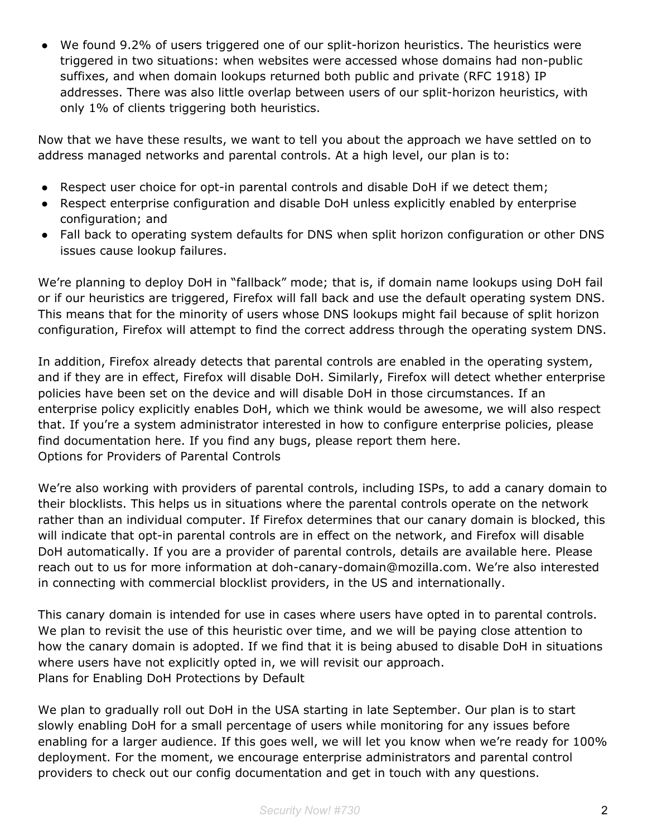● We found 9.2% of users triggered one of our split-horizon heuristics. The heuristics were triggered in two situations: when websites were accessed whose domains had non-public suffixes, and when domain lookups returned both public and private (RFC 1918) IP addresses. There was also little overlap between users of our split-horizon heuristics, with only 1% of clients triggering both heuristics.

Now that we have these results, we want to tell you about the approach we have settled on to address managed networks and parental controls. At a high level, our plan is to:

- Respect user choice for opt-in parental controls and disable DoH if we detect them;
- Respect enterprise configuration and disable DoH unless explicitly enabled by enterprise configuration; and
- Fall back to operating system defaults for DNS when split horizon configuration or other DNS issues cause lookup failures.

We're planning to deploy DoH in "fallback" mode; that is, if domain name lookups using DoH fail or if our heuristics are triggered, Firefox will fall back and use the default operating system DNS. This means that for the minority of users whose DNS lookups might fail because of split horizon configuration, Firefox will attempt to find the correct address through the operating system DNS.

In addition, Firefox already detects that parental controls are enabled in the operating system, and if they are in effect, Firefox will disable DoH. Similarly, Firefox will detect whether enterprise policies have been set on the device and will disable DoH in those circumstances. If an enterprise policy explicitly enables DoH, which we think would be awesome, we will also respect that. If you're a system administrator interested in how to configure enterprise policies, please find documentation here. If you find any bugs, please report them here. Options for Providers of Parental Controls

We're also working with providers of parental controls, including ISPs, to add a canary domain to their blocklists. This helps us in situations where the parental controls operate on the network rather than an individual computer. If Firefox determines that our canary domain is blocked, this will indicate that opt-in parental controls are in effect on the network, and Firefox will disable DoH automatically. If you are a provider of parental controls, details are available here. Please reach out to us for more information at doh-canary-domain@mozilla.com. We're also interested in connecting with commercial blocklist providers, in the US and internationally.

This canary domain is intended for use in cases where users have opted in to parental controls. We plan to revisit the use of this heuristic over time, and we will be paying close attention to how the canary domain is adopted. If we find that it is being abused to disable DoH in situations where users have not explicitly opted in, we will revisit our approach. Plans for Enabling DoH Protections by Default

We plan to gradually roll out DoH in the USA starting in late September. Our plan is to start slowly enabling DoH for a small percentage of users while monitoring for any issues before enabling for a larger audience. If this goes well, we will let you know when we're ready for 100% deployment. For the moment, we encourage enterprise administrators and parental control providers to check out our config documentation and get in touch with any questions.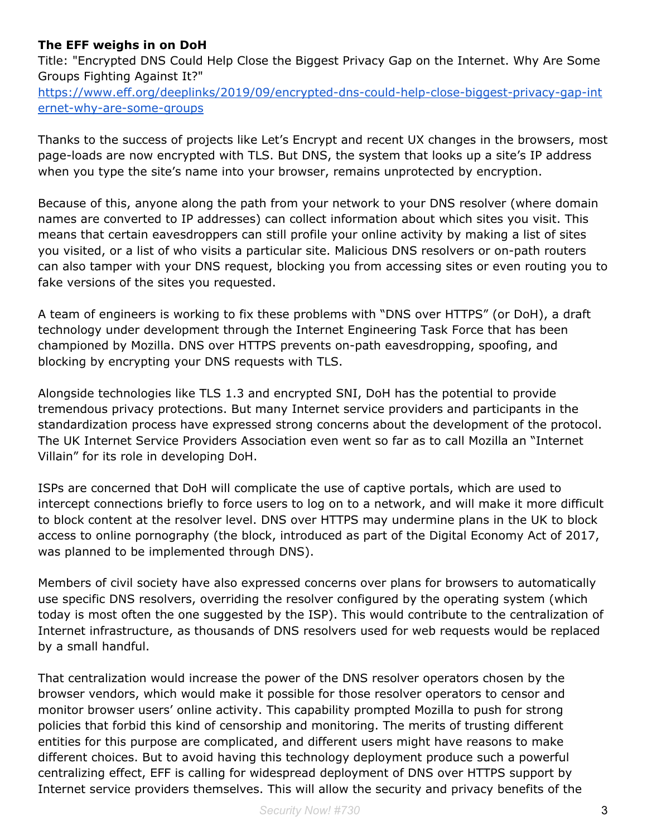#### **The EFF weighs in on DoH**

Title: "Encrypted DNS Could Help Close the Biggest Privacy Gap on the Internet. Why Are Some Groups Fighting Against It?" [https://www.eff.org/deeplinks/2019/09/encrypted-dns-could-help-close-biggest-privacy-gap-int](https://www.eff.org/deeplinks/2019/09/encrypted-dns-could-help-close-biggest-privacy-gap-internet-why-are-some-groups) [ernet-why-are-some-groups](https://www.eff.org/deeplinks/2019/09/encrypted-dns-could-help-close-biggest-privacy-gap-internet-why-are-some-groups)

Thanks to the success of projects like Let's Encrypt and recent UX changes in the browsers, most page-loads are now encrypted with TLS. But DNS, the system that looks up a site's IP address when you type the site's name into your browser, remains unprotected by encryption.

Because of this, anyone along the path from your network to your DNS resolver (where domain names are converted to IP addresses) can collect information about which sites you visit. This means that certain eavesdroppers can still profile your online activity by making a list of sites you visited, or a list of who visits a particular site. Malicious DNS resolvers or on-path routers can also tamper with your DNS request, blocking you from accessing sites or even routing you to fake versions of the sites you requested.

A team of engineers is working to fix these problems with "DNS over HTTPS" (or DoH), a draft technology under development through the Internet Engineering Task Force that has been championed by Mozilla. DNS over HTTPS prevents on-path eavesdropping, spoofing, and blocking by encrypting your DNS requests with TLS.

Alongside technologies like TLS 1.3 and encrypted SNI, DoH has the potential to provide tremendous privacy protections. But many Internet service providers and participants in the standardization process have expressed strong concerns about the development of the protocol. The UK Internet Service Providers Association even went so far as to call Mozilla an "Internet Villain" for its role in developing DoH.

ISPs are concerned that DoH will complicate the use of captive portals, which are used to intercept connections briefly to force users to log on to a network, and will make it more difficult to block content at the resolver level. DNS over HTTPS may undermine plans in the UK to block access to online pornography (the block, introduced as part of the Digital Economy Act of 2017, was planned to be implemented through DNS).

Members of civil society have also expressed concerns over plans for browsers to automatically use specific DNS resolvers, overriding the resolver configured by the operating system (which today is most often the one suggested by the ISP). This would contribute to the centralization of Internet infrastructure, as thousands of DNS resolvers used for web requests would be replaced by a small handful.

That centralization would increase the power of the DNS resolver operators chosen by the browser vendors, which would make it possible for those resolver operators to censor and monitor browser users' online activity. This capability prompted Mozilla to push for strong policies that forbid this kind of censorship and monitoring. The merits of trusting different entities for this purpose are complicated, and different users might have reasons to make different choices. But to avoid having this technology deployment produce such a powerful centralizing effect, EFF is calling for widespread deployment of DNS over HTTPS support by Internet service providers themselves. This will allow the security and privacy benefits of the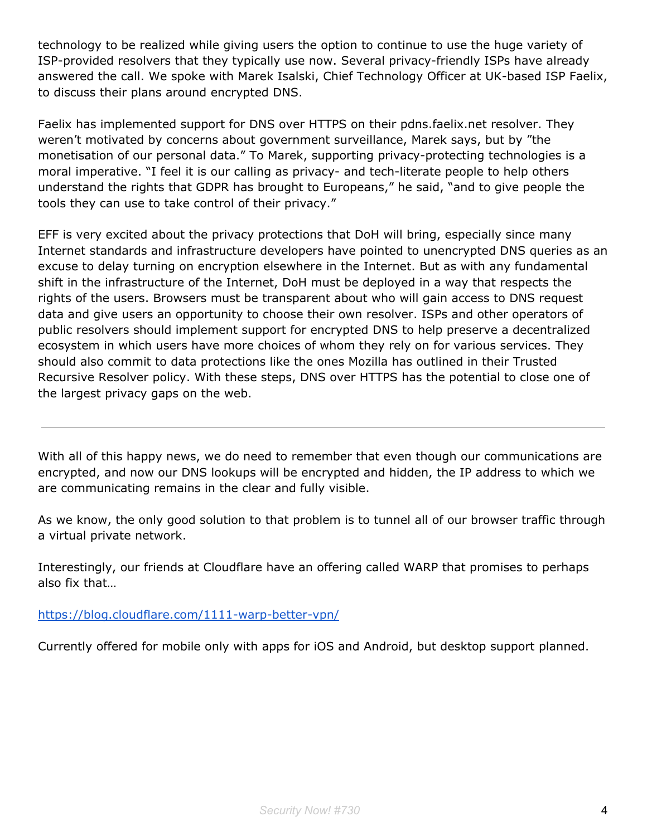technology to be realized while giving users the option to continue to use the huge variety of ISP-provided resolvers that they typically use now. Several privacy-friendly ISPs have already answered the call. We spoke with Marek Isalski, Chief Technology Officer at UK-based ISP Faelix, to discuss their plans around encrypted DNS.

Faelix has implemented support for DNS over HTTPS on their pdns.faelix.net resolver. They weren't motivated by concerns about government surveillance, Marek says, but by "the monetisation of our personal data." To Marek, supporting privacy-protecting technologies is a moral imperative. "I feel it is our calling as privacy- and tech-literate people to help others understand the rights that GDPR has brought to Europeans," he said, "and to give people the tools they can use to take control of their privacy."

EFF is very excited about the privacy protections that DoH will bring, especially since many Internet standards and infrastructure developers have pointed to unencrypted DNS queries as an excuse to delay turning on encryption elsewhere in the Internet. But as with any fundamental shift in the infrastructure of the Internet, DoH must be deployed in a way that respects the rights of the users. Browsers must be transparent about who will gain access to DNS request data and give users an opportunity to choose their own resolver. ISPs and other operators of public resolvers should implement support for encrypted DNS to help preserve a decentralized ecosystem in which users have more choices of whom they rely on for various services. They should also commit to data protections like the ones Mozilla has outlined in their Trusted Recursive Resolver policy. With these steps, DNS over HTTPS has the potential to close one of the largest privacy gaps on the web.

With all of this happy news, we do need to remember that even though our communications are encrypted, and now our DNS lookups will be encrypted and hidden, the IP address to which we are communicating remains in the clear and fully visible.

As we know, the only good solution to that problem is to tunnel all of our browser traffic through a virtual private network.

Interestingly, our friends at Cloudflare have an offering called WARP that promises to perhaps also fix that…

<https://blog.cloudflare.com/1111-warp-better-vpn/>

Currently offered for mobile only with apps for iOS and Android, but desktop support planned.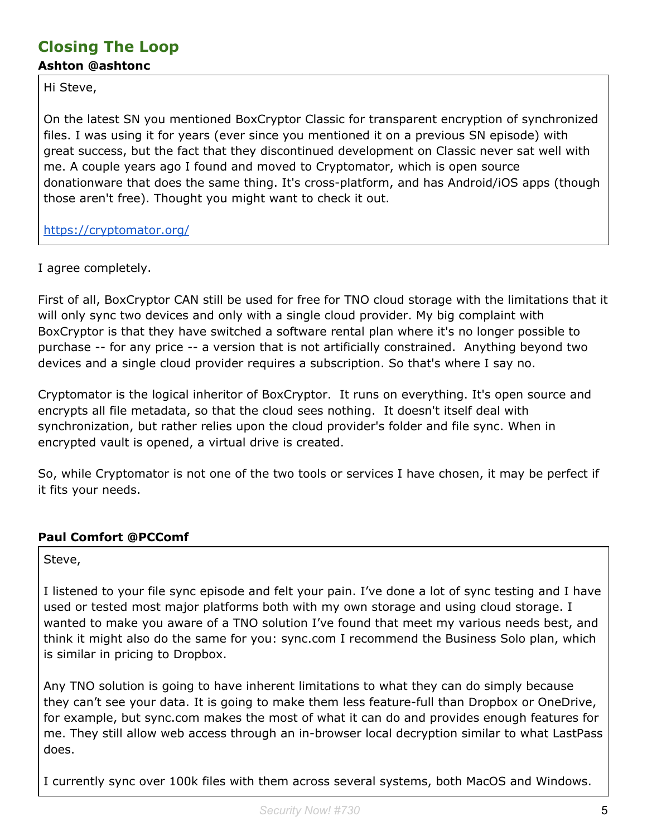#### **Closing The Loop Ashton @ashtonc**

Hi Steve,

On the latest SN you mentioned BoxCryptor Classic for transparent encryption of synchronized files. I was using it for years (ever since you mentioned it on a previous SN episode) with great success, but the fact that they discontinued development on Classic never sat well with me. A couple years ago I found and moved to Cryptomator, which is open source donationware that does the same thing. It's cross-platform, and has Android/iOS apps (though those aren't free). Thought you might want to check it out.

<https://cryptomator.org/>

I agree completely.

First of all, BoxCryptor CAN still be used for free for TNO cloud storage with the limitations that it will only sync two devices and only with a single cloud provider. My big complaint with BoxCryptor is that they have switched a software rental plan where it's no longer possible to purchase -- for any price -- a version that is not artificially constrained. Anything beyond two devices and a single cloud provider requires a subscription. So that's where I say no.

Cryptomator is the logical inheritor of BoxCryptor. It runs on everything. It's open source and encrypts all file metadata, so that the cloud sees nothing. It doesn't itself deal with synchronization, but rather relies upon the cloud provider's folder and file sync. When in encrypted vault is opened, a virtual drive is created.

So, while Cryptomator is not one of the two tools or services I have chosen, it may be perfect if it fits your needs.

#### **Paul Comfort @PCComf**

Steve,

I listened to your file sync episode and felt your pain. I've done a lot of sync testing and I have used or tested most major platforms both with my own storage and using cloud storage. I wanted to make you aware of a TNO solution I've found that meet my various needs best, and think it might also do the same for you: sync.com I recommend the Business Solo plan, which is similar in pricing to Dropbox.

Any TNO solution is going to have inherent limitations to what they can do simply because they can't see your data. It is going to make them less feature-full than Dropbox or OneDrive, for example, but sync.com makes the most of what it can do and provides enough features for me. They still allow web access through an in-browser local decryption similar to what LastPass does.

I currently sync over 100k files with them across several systems, both MacOS and Windows.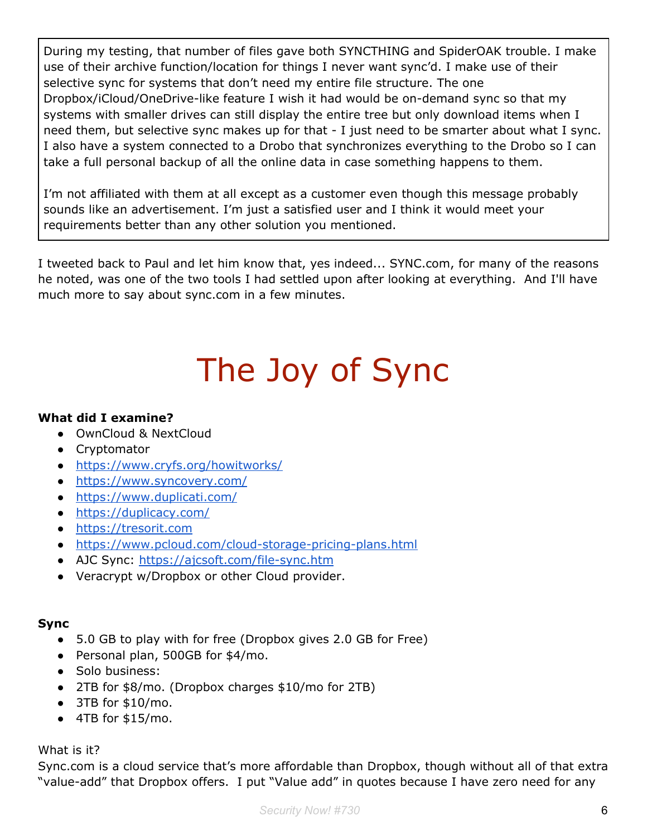During my testing, that number of files gave both SYNCTHING and SpiderOAK trouble. I make use of their archive function/location for things I never want sync'd. I make use of their selective sync for systems that don't need my entire file structure. The one Dropbox/iCloud/OneDrive-like feature I wish it had would be on-demand sync so that my systems with smaller drives can still display the entire tree but only download items when I need them, but selective sync makes up for that - I just need to be smarter about what I sync. I also have a system connected to a Drobo that synchronizes everything to the Drobo so I can take a full personal backup of all the online data in case something happens to them.

I'm not affiliated with them at all except as a customer even though this message probably sounds like an advertisement. I'm just a satisfied user and I think it would meet your requirements better than any other solution you mentioned.

I tweeted back to Paul and let him know that, yes indeed... SYNC.com, for many of the reasons he noted, was one of the two tools I had settled upon after looking at everything. And I'll have much more to say about sync.com in a few minutes.

# The Joy of Sync

#### **What did I examine?**

- OwnCloud & NextCloud
- Cryptomator
- <https://www.cryfs.org/howitworks/>
- <https://www.syncovery.com/>
- <https://www.duplicati.com/>
- <https://duplicacy.com/>
- [https://tresorit.com](https://tresorit.com/)
- <https://www.pcloud.com/cloud-storage-pricing-plans.html>
- AJC Sync: <https://ajcsoft.com/file-sync.htm>
- Veracrypt w/Dropbox or other Cloud provider.

#### **Sync**

- 5.0 GB to play with for free (Dropbox gives 2.0 GB for Free)
- Personal plan, 500GB for \$4/mo.
- Solo business:
- 2TB for \$8/mo. (Dropbox charges \$10/mo for 2TB)
- $\bullet$  3TB for \$10/mo.
- $\bullet$  4TB for \$15/mo.

#### What is it?

Sync.com is a cloud service that's more affordable than Dropbox, though without all of that extra "value-add" that Dropbox offers. I put "Value add" in quotes because I have zero need for any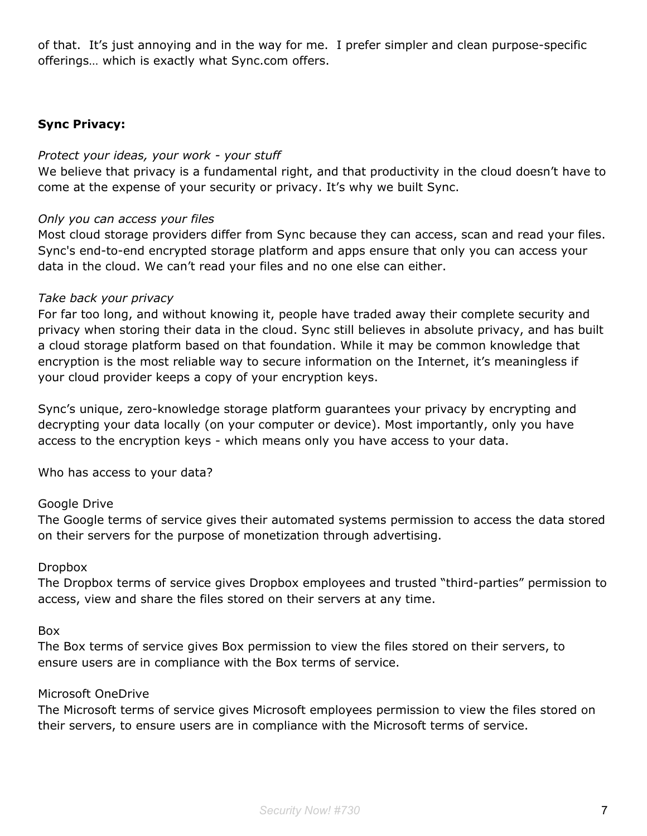of that. It's just annoying and in the way for me. I prefer simpler and clean purpose-specific offerings… which is exactly what Sync.com offers.

#### **Sync Privacy:**

#### *Protect your ideas, your work - your stuff*

We believe that privacy is a fundamental right, and that productivity in the cloud doesn't have to come at the expense of your security or privacy. It's why we built Sync.

#### *Only you can access your files*

Most cloud storage providers differ from Sync because they can access, scan and read your files. Sync's end-to-end encrypted storage platform and apps ensure that only you can access your data in the cloud. We can't read your files and no one else can either.

#### *Take back your privacy*

For far too long, and without knowing it, people have traded away their complete security and privacy when storing their data in the cloud. Sync still believes in absolute privacy, and has built a cloud storage platform based on that foundation. While it may be common knowledge that encryption is the most reliable way to secure information on the Internet, it's meaningless if your cloud provider keeps a copy of your encryption keys.

Sync's unique, zero-knowledge storage platform guarantees your privacy by encrypting and decrypting your data locally (on your computer or device). Most importantly, only you have access to the encryption keys - which means only you have access to your data.

Who has access to your data?

#### Google Drive

The Google terms of service gives their automated systems permission to access the data stored on their servers for the purpose of monetization through advertising.

#### Dropbox

The Dropbox terms of service gives Dropbox employees and trusted "third-parties" permission to access, view and share the files stored on their servers at any time.

#### Box

The Box terms of service gives Box permission to view the files stored on their servers, to ensure users are in compliance with the Box terms of service.

#### Microsoft OneDrive

The Microsoft terms of service gives Microsoft employees permission to view the files stored on their servers, to ensure users are in compliance with the Microsoft terms of service.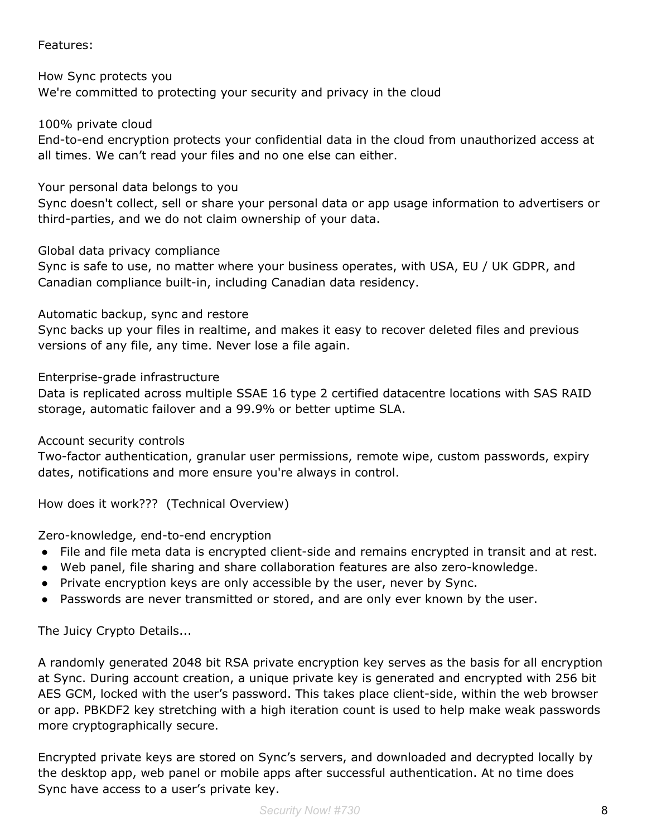#### Features:

How Sync protects you We're committed to protecting your security and privacy in the cloud

100% private cloud

End-to-end encryption protects your confidential data in the cloud from unauthorized access at all times. We can't read your files and no one else can either.

#### Your personal data belongs to you

Sync doesn't collect, sell or share your personal data or app usage information to advertisers or third-parties, and we do not claim ownership of your data.

#### Global data privacy compliance

Sync is safe to use, no matter where your business operates, with USA, EU / UK GDPR, and Canadian compliance built-in, including Canadian data residency.

#### Automatic backup, sync and restore

Sync backs up your files in realtime, and makes it easy to recover deleted files and previous versions of any file, any time. Never lose a file again.

#### Enterprise-grade infrastructure

Data is replicated across multiple SSAE 16 type 2 certified datacentre locations with SAS RAID storage, automatic failover and a 99.9% or better uptime SLA.

#### Account security controls

Two-factor authentication, granular user permissions, remote wipe, custom passwords, expiry dates, notifications and more ensure you're always in control.

How does it work??? (Technical Overview)

#### Zero-knowledge, end-to-end encryption

- File and file meta data is encrypted client-side and remains encrypted in transit and at rest.
- Web panel, file sharing and share collaboration features are also zero-knowledge.
- Private encryption keys are only accessible by the user, never by Sync.
- Passwords are never transmitted or stored, and are only ever known by the user.

The Juicy Crypto Details...

A randomly generated 2048 bit RSA private encryption key serves as the basis for all encryption at Sync. During account creation, a unique private key is generated and encrypted with 256 bit AES GCM, locked with the user's password. This takes place client-side, within the web browser or app. PBKDF2 key stretching with a high iteration count is used to help make weak passwords more cryptographically secure.

Encrypted private keys are stored on Sync's servers, and downloaded and decrypted locally by the desktop app, web panel or mobile apps after successful authentication. At no time does Sync have access to a user's private key.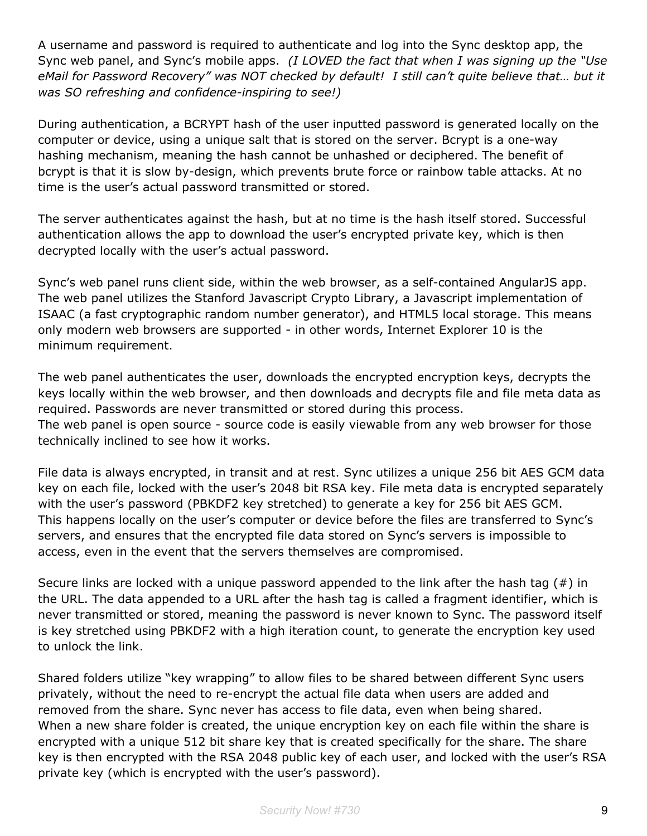A username and password is required to authenticate and log into the Sync desktop app, the Sync web panel, and Sync's mobile apps. *(I LOVED the fact that when I was signing up the "Use eMail for Password Recovery" was NOT checked by default! I still can't quite believe that… but it was SO refreshing and confidence-inspiring to see!)*

During authentication, a BCRYPT hash of the user inputted password is generated locally on the computer or device, using a unique salt that is stored on the server. Bcrypt is a one-way hashing mechanism, meaning the hash cannot be unhashed or deciphered. The benefit of bcrypt is that it is slow by-design, which prevents brute force or rainbow table attacks. At no time is the user's actual password transmitted or stored.

The server authenticates against the hash, but at no time is the hash itself stored. Successful authentication allows the app to download the user's encrypted private key, which is then decrypted locally with the user's actual password.

Sync's web panel runs client side, within the web browser, as a self-contained AngularJS app. The web panel utilizes the Stanford Javascript Crypto Library, a Javascript implementation of ISAAC (a fast cryptographic random number generator), and HTML5 local storage. This means only modern web browsers are supported - in other words, Internet Explorer 10 is the minimum requirement.

The web panel authenticates the user, downloads the encrypted encryption keys, decrypts the keys locally within the web browser, and then downloads and decrypts file and file meta data as required. Passwords are never transmitted or stored during this process. The web panel is open source - source code is easily viewable from any web browser for those technically inclined to see how it works.

File data is always encrypted, in transit and at rest. Sync utilizes a unique 256 bit AES GCM data key on each file, locked with the user's 2048 bit RSA key. File meta data is encrypted separately with the user's password (PBKDF2 key stretched) to generate a key for 256 bit AES GCM. This happens locally on the user's computer or device before the files are transferred to Sync's servers, and ensures that the encrypted file data stored on Sync's servers is impossible to access, even in the event that the servers themselves are compromised.

Secure links are locked with a unique password appended to the link after the hash tag (#) in the URL. The data appended to a URL after the hash tag is called a fragment identifier, which is never transmitted or stored, meaning the password is never known to Sync. The password itself is key stretched using PBKDF2 with a high iteration count, to generate the encryption key used to unlock the link.

Shared folders utilize "key wrapping" to allow files to be shared between different Sync users privately, without the need to re-encrypt the actual file data when users are added and removed from the share. Sync never has access to file data, even when being shared. When a new share folder is created, the unique encryption key on each file within the share is encrypted with a unique 512 bit share key that is created specifically for the share. The share key is then encrypted with the RSA 2048 public key of each user, and locked with the user's RSA private key (which is encrypted with the user's password).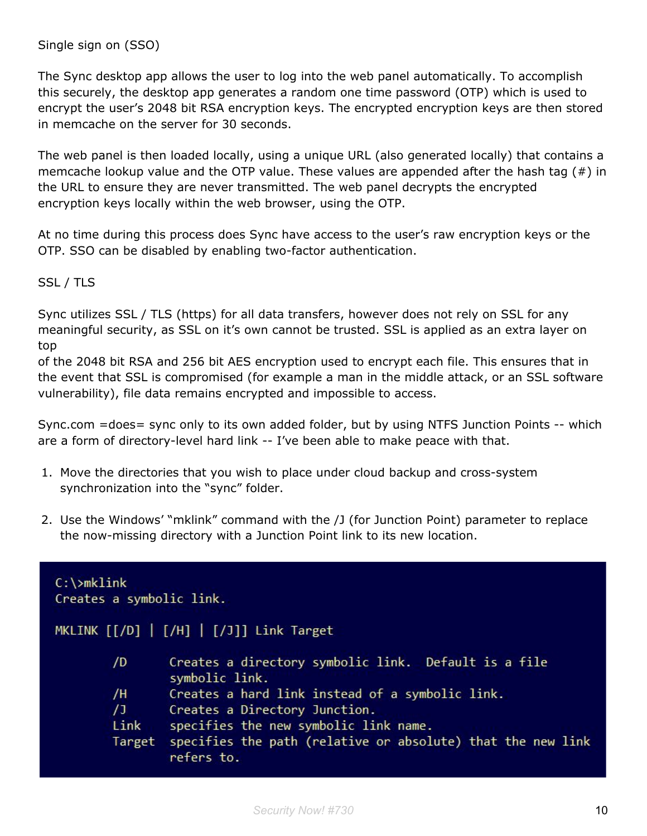The Sync desktop app allows the user to log into the web panel automatically. To accomplish this securely, the desktop app generates a random one time password (OTP) which is used to encrypt the user's 2048 bit RSA encryption keys. The encrypted encryption keys are then stored in memcache on the server for 30 seconds.

The web panel is then loaded locally, using a unique URL (also generated locally) that contains a memcache lookup value and the OTP value. These values are appended after the hash tag (#) in the URL to ensure they are never transmitted. The web panel decrypts the encrypted encryption keys locally within the web browser, using the OTP.

At no time during this process does Sync have access to the user's raw encryption keys or the OTP. SSO can be disabled by enabling two-factor authentication.

SSL / TLS

Sync utilizes SSL / TLS (https) for all data transfers, however does not rely on SSL for any meaningful security, as SSL on it's own cannot be trusted. SSL is applied as an extra layer on top

of the 2048 bit RSA and 256 bit AES encryption used to encrypt each file. This ensures that in the event that SSL is compromised (for example a man in the middle attack, or an SSL software vulnerability), file data remains encrypted and impossible to access.

Sync.com =does= sync only to its own added folder, but by using NTFS Junction Points -- which are a form of directory-level hard link -- I've been able to make peace with that.

- 1. Move the directories that you wish to place under cloud backup and cross-system synchronization into the "sync" folder.
- 2. Use the Windows' "mklink" command with the /J (for Junction Point) parameter to replace the now-missing directory with a Junction Point link to its new location.

| $C:\mathrm{mklink}$<br>Creates a symbolic link. |                                                                           |
|-------------------------------------------------|---------------------------------------------------------------------------|
| MKLINK [[/D]   [/H]   [/J]] Link Target         |                                                                           |
| /D                                              | Creates a directory symbolic link. Default is a file<br>symbolic link.    |
| /H                                              | Creates a hard link instead of a symbolic link.                           |
| $\sqrt{1}$                                      | Creates a Directory Junction.                                             |
| Link                                            | specifies the new symbolic link name.                                     |
| Target                                          | specifies the path (relative or absolute) that the new link<br>refers to. |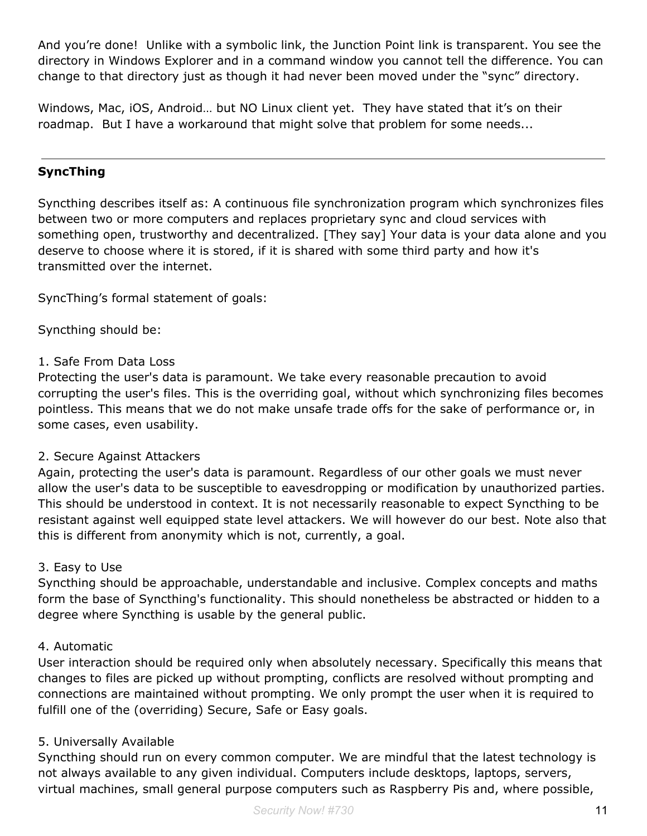And you're done! Unlike with a symbolic link, the Junction Point link is transparent. You see the directory in Windows Explorer and in a command window you cannot tell the difference. You can change to that directory just as though it had never been moved under the "sync" directory.

Windows, Mac, iOS, Android… but NO Linux client yet. They have stated that it's on their roadmap. But I have a workaround that might solve that problem for some needs...

#### **SyncThing**

Syncthing describes itself as: A continuous file synchronization program which synchronizes files between two or more computers and replaces proprietary sync and cloud services with something open, trustworthy and decentralized. [They say] Your data is your data alone and you deserve to choose where it is stored, if it is shared with some third party and how it's transmitted over the internet.

SyncThing's formal statement of goals:

Syncthing should be:

#### 1. Safe From Data Loss

Protecting the user's data is paramount. We take every reasonable precaution to avoid corrupting the user's files. This is the overriding goal, without which synchronizing files becomes pointless. This means that we do not make unsafe trade offs for the sake of performance or, in some cases, even usability.

#### 2. Secure Against Attackers

Again, protecting the user's data is paramount. Regardless of our other goals we must never allow the user's data to be susceptible to eavesdropping or modification by unauthorized parties. This should be understood in context. It is not necessarily reasonable to expect Syncthing to be resistant against well equipped state level attackers. We will however do our best. Note also that this is different from anonymity which is not, currently, a goal.

#### 3. Easy to Use

Syncthing should be approachable, understandable and inclusive. Complex concepts and maths form the base of Syncthing's functionality. This should nonetheless be abstracted or hidden to a degree where Syncthing is usable by the general public.

#### 4. Automatic

User interaction should be required only when absolutely necessary. Specifically this means that changes to files are picked up without prompting, conflicts are resolved without prompting and connections are maintained without prompting. We only prompt the user when it is required to fulfill one of the (overriding) Secure, Safe or Easy goals.

#### 5. Universally Available

Syncthing should run on every common computer. We are mindful that the latest technology is not always available to any given individual. Computers include desktops, laptops, servers, virtual machines, small general purpose computers such as Raspberry Pis and, where possible,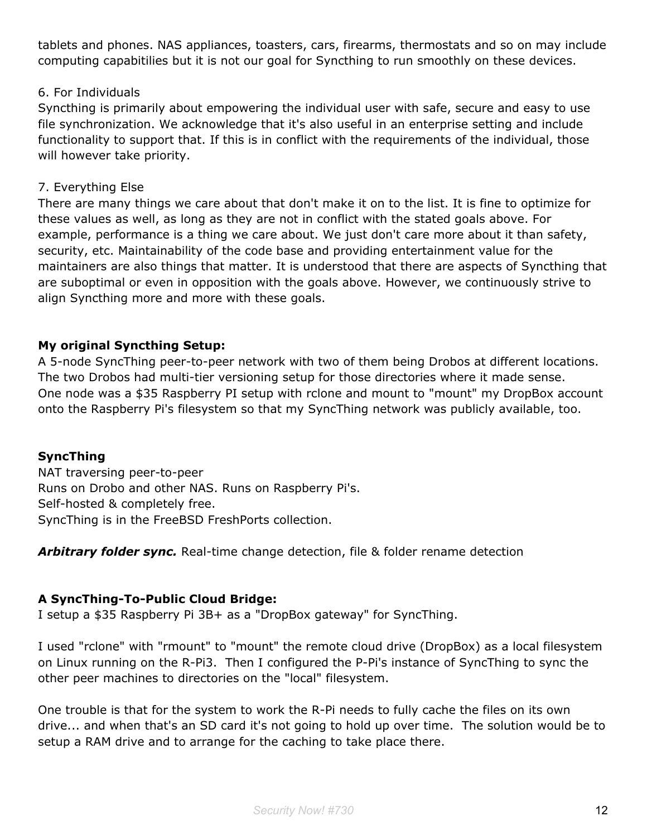tablets and phones. NAS appliances, toasters, cars, firearms, thermostats and so on may include computing capabitilies but it is not our goal for Syncthing to run smoothly on these devices.

#### 6. For Individuals

Syncthing is primarily about empowering the individual user with safe, secure and easy to use file synchronization. We acknowledge that it's also useful in an enterprise setting and include functionality to support that. If this is in conflict with the requirements of the individual, those will however take priority.

#### 7. Everything Else

There are many things we care about that don't make it on to the list. It is fine to optimize for these values as well, as long as they are not in conflict with the stated goals above. For example, performance is a thing we care about. We just don't care more about it than safety, security, etc. Maintainability of the code base and providing entertainment value for the maintainers are also things that matter. It is understood that there are aspects of Syncthing that are suboptimal or even in opposition with the goals above. However, we continuously strive to align Syncthing more and more with these goals.

#### **My original Syncthing Setup:**

A 5-node SyncThing peer-to-peer network with two of them being Drobos at different locations. The two Drobos had multi-tier versioning setup for those directories where it made sense. One node was a \$35 Raspberry PI setup with rclone and mount to "mount" my DropBox account onto the Raspberry Pi's filesystem so that my SyncThing network was publicly available, too.

#### **SyncThing**

NAT traversing peer-to-peer Runs on Drobo and other NAS. Runs on Raspberry Pi's. Self-hosted & completely free. SyncThing is in the FreeBSD FreshPorts collection.

*Arbitrary folder sync.* Real-time change detection, file & folder rename detection

#### **A SyncThing-To-Public Cloud Bridge:**

I setup a \$35 Raspberry Pi 3B+ as a "DropBox gateway" for SyncThing.

I used "rclone" with "rmount" to "mount" the remote cloud drive (DropBox) as a local filesystem on Linux running on the R-Pi3. Then I configured the P-Pi's instance of SyncThing to sync the other peer machines to directories on the "local" filesystem.

One trouble is that for the system to work the R-Pi needs to fully cache the files on its own drive... and when that's an SD card it's not going to hold up over time. The solution would be to setup a RAM drive and to arrange for the caching to take place there.